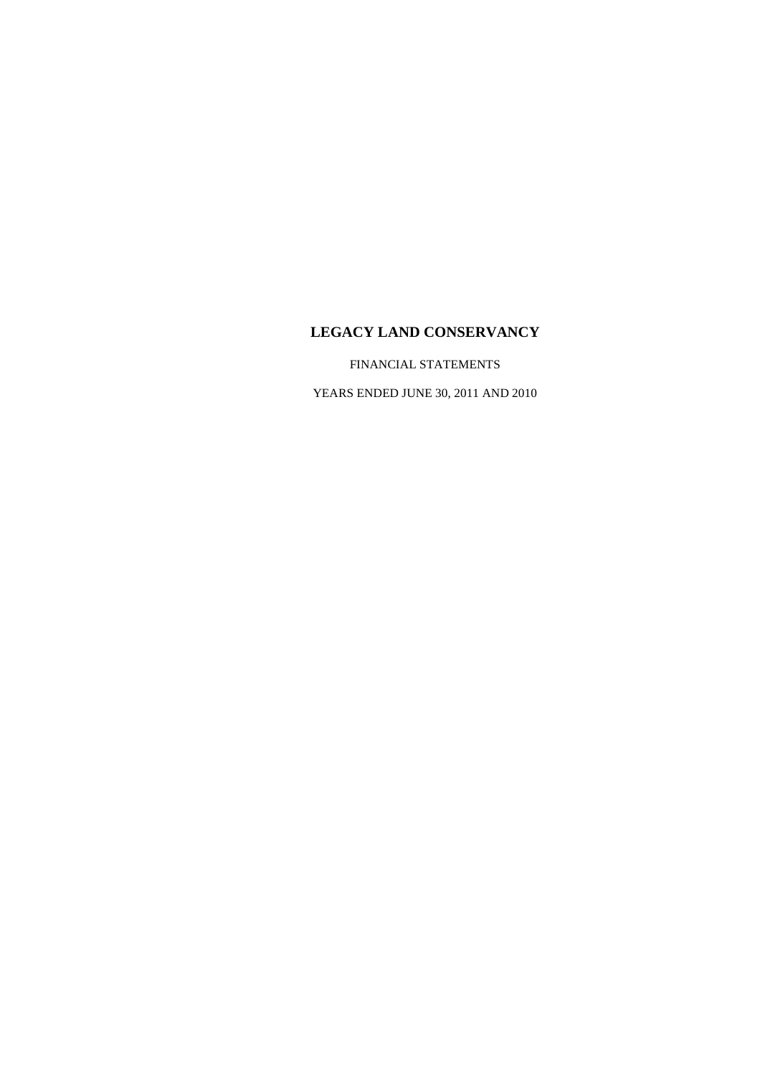FINANCIAL STATEMENTS

YEARS ENDED JUNE 30, 2011 AND 2010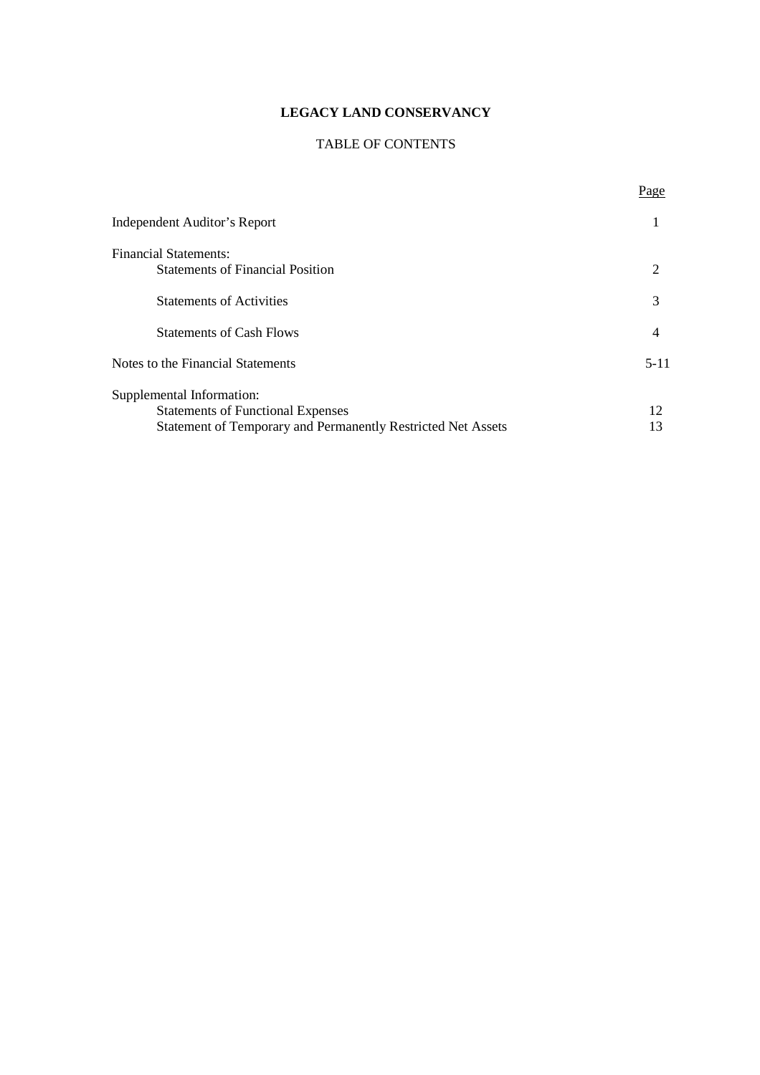## TABLE OF CONTENTS

Page

| Independent Auditor's Report                                 |                       |
|--------------------------------------------------------------|-----------------------|
| <b>Financial Statements:</b>                                 |                       |
| <b>Statements of Financial Position</b>                      | $\mathcal{D}_{\cdot}$ |
| <b>Statements of Activities</b>                              | 3                     |
| <b>Statements of Cash Flows</b>                              | 4                     |
| Notes to the Financial Statements                            | $5 - 11$              |
| Supplemental Information:                                    |                       |
| <b>Statements of Functional Expenses</b>                     | 12                    |
| Statement of Temporary and Permanently Restricted Net Assets | 13                    |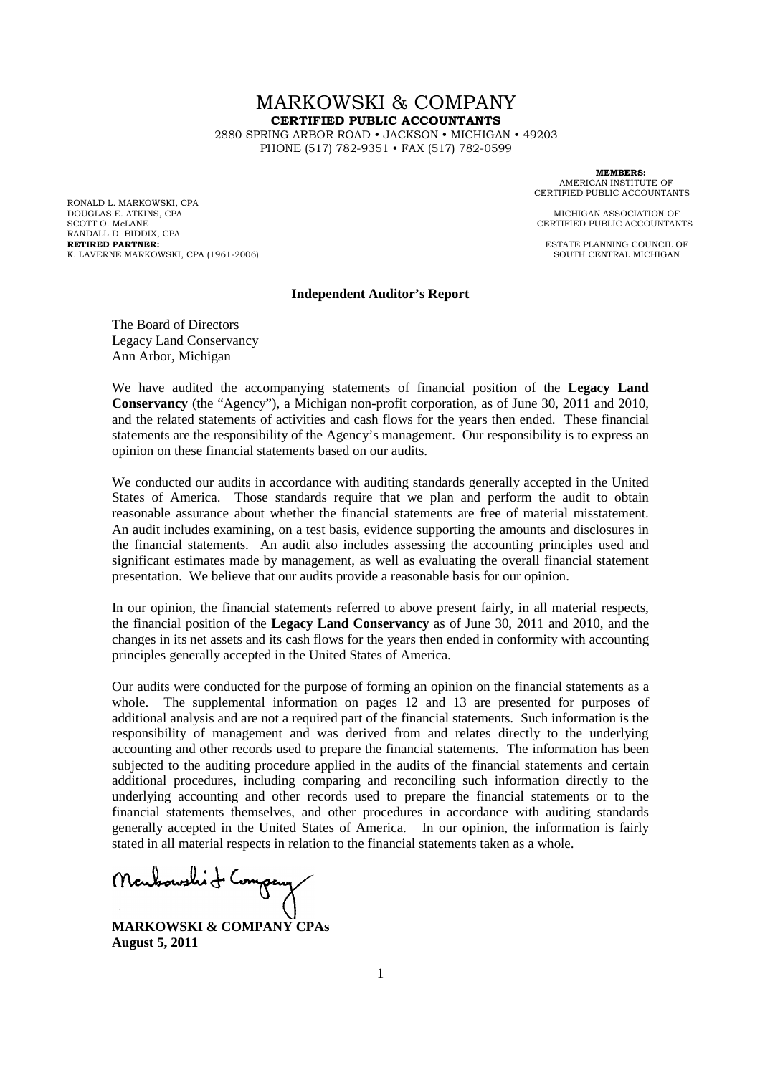# MARKOWSKI & COMPANY **CERTIFIED PUBLIC ACCOUNTANTS**

2880 SPRING ARBOR ROAD • JACKSON • MICHIGAN • 49203 PHONE (517) 782-9351 • FAX (517) 782-0599

RONALD L. MARKOWSKI, CPA DOUGLAS E. ATKINS, CPA **MICHIGAN ASSOCIATION OF** SCOTT O. McLANE CERTIFIED PUBLIC ACCOUNTANTS RANDALL D. BIDDIX, CPA<br>RETIRED PARTNER: K. LAVERNE MARKOWSKI, CPA (1961-2006)

**MEMBERS:** AMERICAN INSTITUTE OF CERTIFIED PUBLIC ACCOUNTANTS

**ESTATE PLANNING COUNCIL OF SOUTH CENTRAL MICHIGAN** 

#### **Independent Auditor's Report**

The Board of Directors Legacy Land Conservancy Ann Arbor, Michigan

We have audited the accompanying statements of financial position of the **Legacy Land Conservancy** (the "Agency"), a Michigan non-profit corporation, as of June 30, 2011 and 2010, and the related statements of activities and cash flows for the years then ended. These financial statements are the responsibility of the Agency's management. Our responsibility is to express an opinion on these financial statements based on our audits.

We conducted our audits in accordance with auditing standards generally accepted in the United States of America. Those standards require that we plan and perform the audit to obtain reasonable assurance about whether the financial statements are free of material misstatement. An audit includes examining, on a test basis, evidence supporting the amounts and disclosures in the financial statements. An audit also includes assessing the accounting principles used and significant estimates made by management, as well as evaluating the overall financial statement presentation. We believe that our audits provide a reasonable basis for our opinion.

In our opinion, the financial statements referred to above present fairly, in all material respects, the financial position of the **Legacy Land Conservancy** as of June 30, 2011 and 2010, and the changes in its net assets and its cash flows for the years then ended in conformity with accounting principles generally accepted in the United States of America.

Our audits were conducted for the purpose of forming an opinion on the financial statements as a whole. The supplemental information on pages 12 and 13 are presented for purposes of additional analysis and are not a required part of the financial statements. Such information is the responsibility of management and was derived from and relates directly to the underlying accounting and other records used to prepare the financial statements. The information has been subjected to the auditing procedure applied in the audits of the financial statements and certain additional procedures, including comparing and reconciling such information directly to the underlying accounting and other records used to prepare the financial statements or to the financial statements themselves, and other procedures in accordance with auditing standards generally accepted in the United States of America. In our opinion, the information is fairly stated in all material respects in relation to the financial statements taken as a whole.

Montsoushit Company

**MARKOWSKI & COMPANY CPAs August 5, 2011**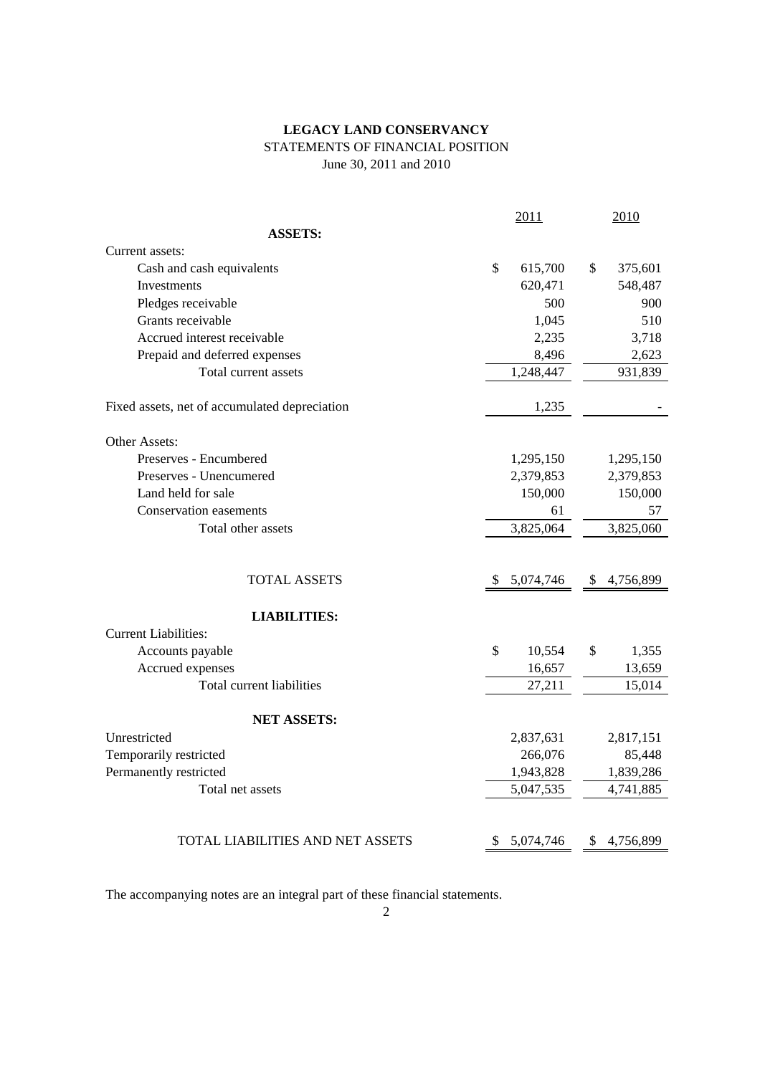## **LEGACY LAND CONSERVANCY** STATEMENTS OF FINANCIAL POSITION June 30, 2011 and 2010

|                                               |               | 2011      | 2010            |
|-----------------------------------------------|---------------|-----------|-----------------|
| <b>ASSETS:</b>                                |               |           |                 |
| Current assets:                               |               |           |                 |
| Cash and cash equivalents                     | $\mathcal{S}$ | 615,700   | \$<br>375,601   |
| <b>Investments</b>                            |               | 620,471   | 548,487         |
| Pledges receivable                            |               | 500       | 900             |
| Grants receivable                             |               | 1,045     | 510             |
| Accrued interest receivable                   |               | 2,235     | 3,718           |
| Prepaid and deferred expenses                 |               | 8,496     | 2,623           |
| Total current assets                          |               | 1,248,447 | 931,839         |
| Fixed assets, net of accumulated depreciation |               | 1,235     |                 |
| Other Assets:                                 |               |           |                 |
| Preserves - Encumbered                        |               | 1,295,150 | 1,295,150       |
| Preserves - Unencumered                       |               | 2,379,853 | 2,379,853       |
| Land held for sale                            |               | 150,000   | 150,000         |
| <b>Conservation easements</b>                 |               | 61        | 57              |
| Total other assets                            |               | 3,825,064 | 3,825,060       |
|                                               |               |           |                 |
| <b>TOTAL ASSETS</b>                           | S.            | 5,074,746 | \$<br>4,756,899 |
| <b>LIABILITIES:</b>                           |               |           |                 |
| <b>Current Liabilities:</b>                   |               |           |                 |
| Accounts payable                              | \$            | 10,554    | \$<br>1,355     |
| Accrued expenses                              |               | 16,657    | 13,659          |
| Total current liabilities                     |               | 27,211    | 15,014          |
| <b>NET ASSETS:</b>                            |               |           |                 |
| Unrestricted                                  |               | 2,837,631 | 2,817,151       |
| Temporarily restricted                        |               | 266,076   | 85,448          |
| Permanently restricted                        |               | 1,943,828 | 1,839,286       |
| Total net assets                              |               | 5,047,535 | 4,741,885       |
|                                               |               |           |                 |
| TOTAL LIABILITIES AND NET ASSETS              | \$            | 5,074,746 | \$<br>4,756,899 |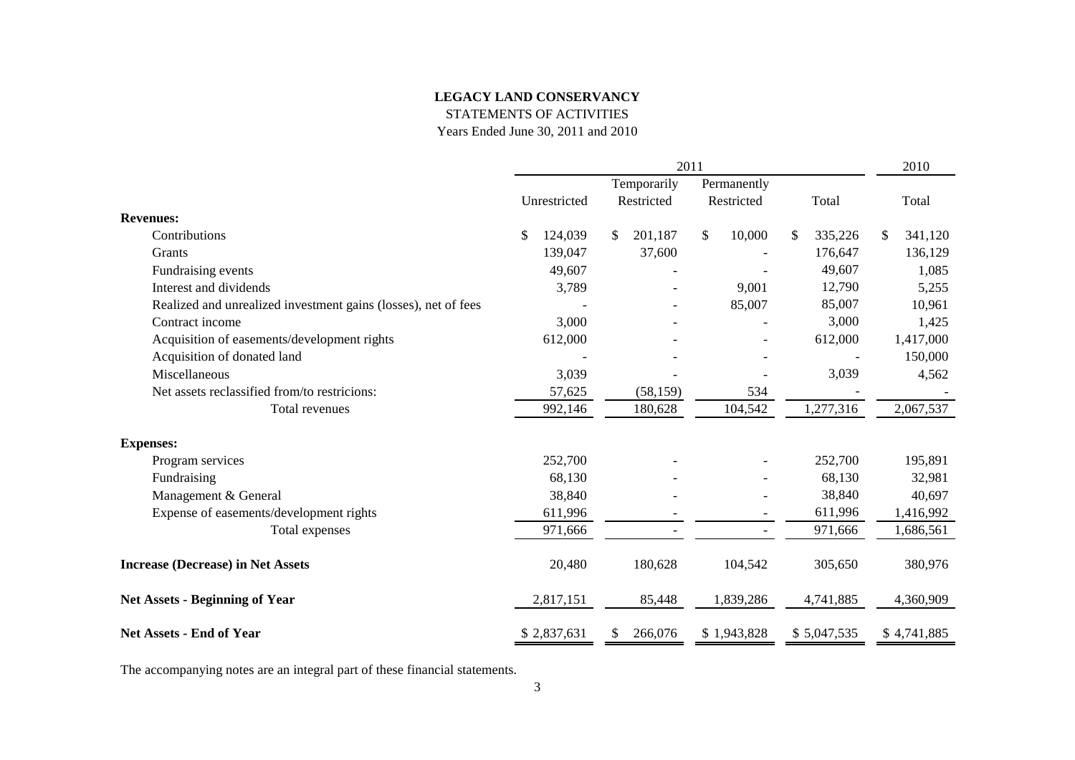STATEMENTS OF ACTIVITIES

Years Ended June 30, 2011 and 2010

|                                                                |               |                          | 2011                     |               | 2010          |
|----------------------------------------------------------------|---------------|--------------------------|--------------------------|---------------|---------------|
|                                                                |               | Temporarily              | Permanently              |               |               |
|                                                                | Unrestricted  | Restricted               | Restricted               | Total         | Total         |
| <b>Revenues:</b>                                               |               |                          |                          |               |               |
| Contributions                                                  | \$<br>124,039 | 201,187<br>\$            | \$<br>10,000             | 335,226<br>\$ | 341,120<br>\$ |
| Grants                                                         | 139,047       | 37,600                   |                          | 176,647       | 136,129       |
| Fundraising events                                             | 49,607        |                          |                          | 49,607        | 1,085         |
| Interest and dividends                                         | 3,789         |                          | 9,001                    | 12,790        | 5,255         |
| Realized and unrealized investment gains (losses), net of fees |               |                          | 85,007                   | 85,007        | 10,961        |
| Contract income                                                | 3,000         |                          |                          | 3,000         | 1,425         |
| Acquisition of easements/development rights                    | 612,000       |                          |                          | 612,000       | 1,417,000     |
| Acquisition of donated land                                    |               |                          |                          |               | 150,000       |
| Miscellaneous                                                  | 3,039         |                          |                          | 3,039         | 4,562         |
| Net assets reclassified from/to restricions:                   | 57,625        | (58, 159)                | 534                      |               |               |
| Total revenues                                                 | 992,146       | 180,628                  | 104,542                  | 1,277,316     | 2,067,537     |
| <b>Expenses:</b>                                               |               |                          |                          |               |               |
| Program services                                               | 252,700       |                          |                          | 252,700       | 195,891       |
| Fundraising                                                    | 68,130        |                          |                          | 68,130        | 32,981        |
| Management & General                                           | 38,840        |                          |                          | 38,840        | 40,697        |
| Expense of easements/development rights                        | 611,996       |                          | $\overline{\phantom{0}}$ | 611,996       | 1,416,992     |
| Total expenses                                                 | 971,666       | $\overline{\phantom{a}}$ | $\overline{\phantom{a}}$ | 971,666       | 1,686,561     |
| <b>Increase (Decrease) in Net Assets</b>                       | 20,480        | 180,628                  | 104,542                  | 305,650       | 380,976       |
| <b>Net Assets - Beginning of Year</b>                          | 2,817,151     | 85,448                   | 1,839,286                | 4,741,885     | 4,360,909     |
| <b>Net Assets - End of Year</b>                                | \$2,837,631   | 266,076<br>S.            | \$1,943,828              | \$5,047,535   | \$4,741,885   |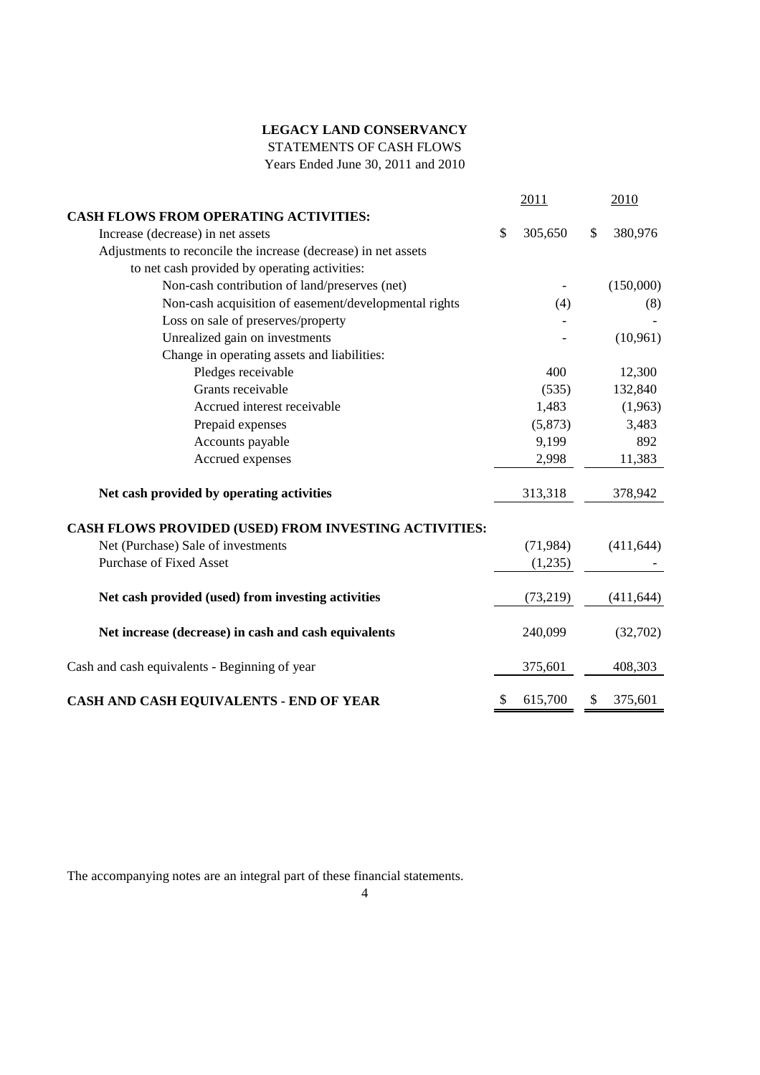STATEMENTS OF CASH FLOWS

Years Ended June 30, 2011 and 2010

|                                                                | 2011          |               | 2010       |
|----------------------------------------------------------------|---------------|---------------|------------|
| <b>CASH FLOWS FROM OPERATING ACTIVITIES:</b>                   |               |               |            |
| Increase (decrease) in net assets                              | \$<br>305,650 | $\mathcal{S}$ | 380,976    |
| Adjustments to reconcile the increase (decrease) in net assets |               |               |            |
| to net cash provided by operating activities:                  |               |               |            |
| Non-cash contribution of land/preserves (net)                  |               |               | (150,000)  |
| Non-cash acquisition of easement/developmental rights          | (4)           |               | (8)        |
| Loss on sale of preserves/property                             |               |               |            |
| Unrealized gain on investments                                 |               |               | (10, 961)  |
| Change in operating assets and liabilities:                    |               |               |            |
| Pledges receivable                                             | 400           |               | 12,300     |
| Grants receivable                                              | (535)         |               | 132,840    |
| Accrued interest receivable                                    | 1,483         |               | (1,963)    |
| Prepaid expenses                                               | (5,873)       |               | 3,483      |
| Accounts payable                                               | 9,199         |               | 892        |
| Accrued expenses                                               | 2,998         |               | 11,383     |
| Net cash provided by operating activities                      | 313,318       |               | 378,942    |
| CASH FLOWS PROVIDED (USED) FROM INVESTING ACTIVITIES:          |               |               |            |
| Net (Purchase) Sale of investments                             | (71, 984)     |               | (411, 644) |
| <b>Purchase of Fixed Asset</b>                                 | (1,235)       |               |            |
| Net cash provided (used) from investing activities             | (73, 219)     |               | (411, 644) |
| Net increase (decrease) in cash and cash equivalents           | 240,099       |               | (32,702)   |
| Cash and cash equivalents - Beginning of year                  | 375,601       |               | 408,303    |
| CASH AND CASH EQUIVALENTS - END OF YEAR                        | \$<br>615,700 | \$            | 375,601    |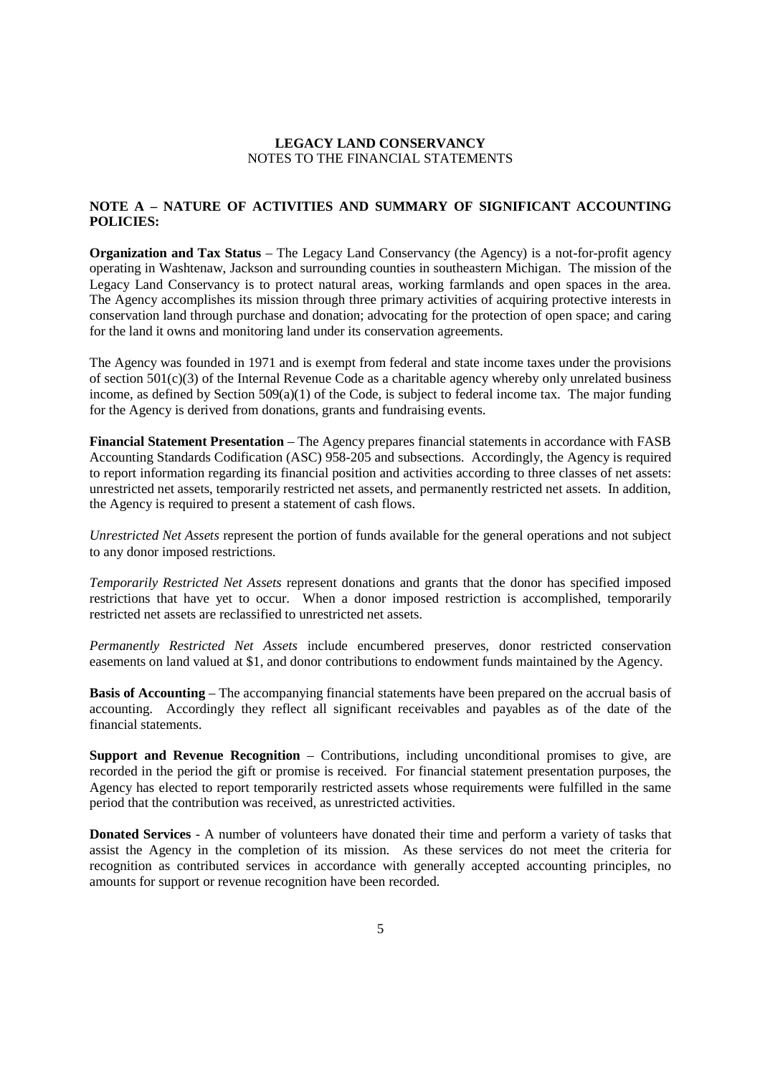## **NOTE A – NATURE OF ACTIVITIES AND SUMMARY OF SIGNIFICANT ACCOUNTING POLICIES:**

**Organization and Tax Status** – The Legacy Land Conservancy (the Agency) is a not-for-profit agency operating in Washtenaw, Jackson and surrounding counties in southeastern Michigan. The mission of the Legacy Land Conservancy is to protect natural areas, working farmlands and open spaces in the area. The Agency accomplishes its mission through three primary activities of acquiring protective interests in conservation land through purchase and donation; advocating for the protection of open space; and caring for the land it owns and monitoring land under its conservation agreements.

The Agency was founded in 1971 and is exempt from federal and state income taxes under the provisions of section 501(c)(3) of the Internal Revenue Code as a charitable agency whereby only unrelated business income, as defined by Section 509(a)(1) of the Code, is subject to federal income tax. The major funding for the Agency is derived from donations, grants and fundraising events.

**Financial Statement Presentation** – The Agency prepares financial statements in accordance with FASB Accounting Standards Codification (ASC) 958-205 and subsections. Accordingly, the Agency is required to report information regarding its financial position and activities according to three classes of net assets: unrestricted net assets, temporarily restricted net assets, and permanently restricted net assets. In addition, the Agency is required to present a statement of cash flows.

*Unrestricted Net Assets* represent the portion of funds available for the general operations and not subject to any donor imposed restrictions.

*Temporarily Restricted Net Assets* represent donations and grants that the donor has specified imposed restrictions that have yet to occur. When a donor imposed restriction is accomplished, temporarily restricted net assets are reclassified to unrestricted net assets.

*Permanently Restricted Net Assets* include encumbered preserves, donor restricted conservation easements on land valued at \$1, and donor contributions to endowment funds maintained by the Agency.

**Basis of Accounting** – The accompanying financial statements have been prepared on the accrual basis of accounting. Accordingly they reflect all significant receivables and payables as of the date of the financial statements.

**Support and Revenue Recognition** – Contributions, including unconditional promises to give, are recorded in the period the gift or promise is received. For financial statement presentation purposes, the Agency has elected to report temporarily restricted assets whose requirements were fulfilled in the same period that the contribution was received, as unrestricted activities.

**Donated Services** - A number of volunteers have donated their time and perform a variety of tasks that assist the Agency in the completion of its mission. As these services do not meet the criteria for recognition as contributed services in accordance with generally accepted accounting principles, no amounts for support or revenue recognition have been recorded.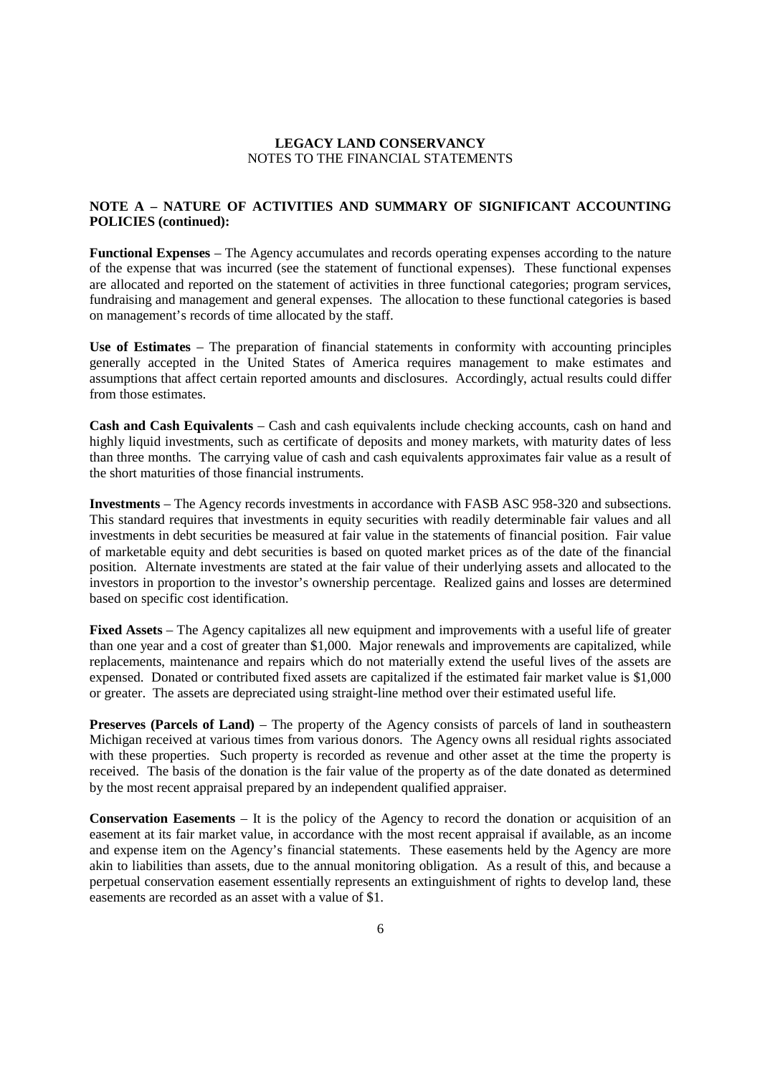## **NOTE A – NATURE OF ACTIVITIES AND SUMMARY OF SIGNIFICANT ACCOUNTING POLICIES (continued):**

**Functional Expenses** – The Agency accumulates and records operating expenses according to the nature of the expense that was incurred (see the statement of functional expenses). These functional expenses are allocated and reported on the statement of activities in three functional categories; program services, fundraising and management and general expenses. The allocation to these functional categories is based on management's records of time allocated by the staff.

**Use of Estimates** – The preparation of financial statements in conformity with accounting principles generally accepted in the United States of America requires management to make estimates and assumptions that affect certain reported amounts and disclosures. Accordingly, actual results could differ from those estimates.

**Cash and Cash Equivalents** – Cash and cash equivalents include checking accounts, cash on hand and highly liquid investments, such as certificate of deposits and money markets, with maturity dates of less than three months. The carrying value of cash and cash equivalents approximates fair value as a result of the short maturities of those financial instruments.

**Investments** – The Agency records investments in accordance with FASB ASC 958-320 and subsections. This standard requires that investments in equity securities with readily determinable fair values and all investments in debt securities be measured at fair value in the statements of financial position. Fair value of marketable equity and debt securities is based on quoted market prices as of the date of the financial position. Alternate investments are stated at the fair value of their underlying assets and allocated to the investors in proportion to the investor's ownership percentage. Realized gains and losses are determined based on specific cost identification.

**Fixed Assets** – The Agency capitalizes all new equipment and improvements with a useful life of greater than one year and a cost of greater than \$1,000. Major renewals and improvements are capitalized, while replacements, maintenance and repairs which do not materially extend the useful lives of the assets are expensed. Donated or contributed fixed assets are capitalized if the estimated fair market value is \$1,000 or greater. The assets are depreciated using straight-line method over their estimated useful life.

**Preserves (Parcels of Land)** – The property of the Agency consists of parcels of land in southeastern Michigan received at various times from various donors. The Agency owns all residual rights associated with these properties. Such property is recorded as revenue and other asset at the time the property is received. The basis of the donation is the fair value of the property as of the date donated as determined by the most recent appraisal prepared by an independent qualified appraiser.

**Conservation Easements** – It is the policy of the Agency to record the donation or acquisition of an easement at its fair market value, in accordance with the most recent appraisal if available, as an income and expense item on the Agency's financial statements. These easements held by the Agency are more akin to liabilities than assets, due to the annual monitoring obligation. As a result of this, and because a perpetual conservation easement essentially represents an extinguishment of rights to develop land, these easements are recorded as an asset with a value of \$1.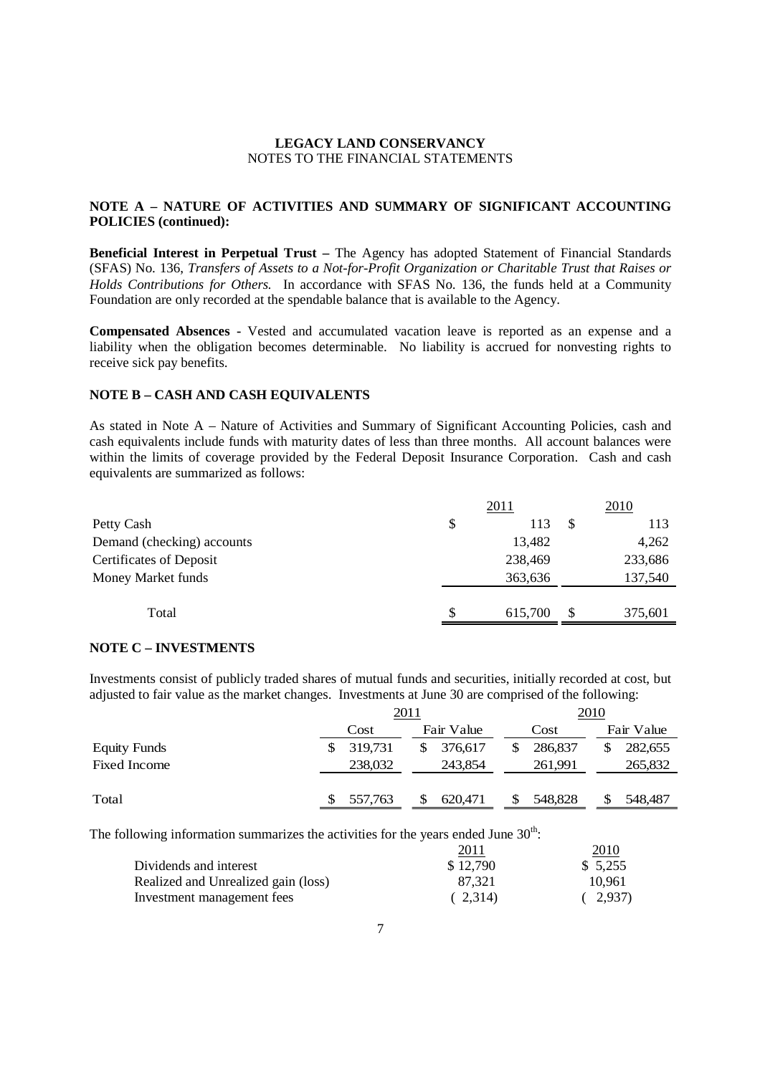## **NOTE A – NATURE OF ACTIVITIES AND SUMMARY OF SIGNIFICANT ACCOUNTING POLICIES (continued):**

**Beneficial Interest in Perpetual Trust –** The Agency has adopted Statement of Financial Standards (SFAS) No. 136, *Transfers of Assets to a Not-for-Profit Organization or Charitable Trust that Raises or Holds Contributions for Others.* In accordance with SFAS No. 136, the funds held at a Community Foundation are only recorded at the spendable balance that is available to the Agency.

**Compensated Absences -** Vested and accumulated vacation leave is reported as an expense and a liability when the obligation becomes determinable. No liability is accrued for nonvesting rights to receive sick pay benefits.

### **NOTE B – CASH AND CASH EQUIVALENTS**

As stated in Note A – Nature of Activities and Summary of Significant Accounting Policies, cash and cash equivalents include funds with maturity dates of less than three months. All account balances were within the limits of coverage provided by the Federal Deposit Insurance Corporation. Cash and cash equivalents are summarized as follows:

|                                |    | <u>2011</u> |    | 2010    |
|--------------------------------|----|-------------|----|---------|
| Petty Cash                     | \$ | 113         | S  | 113     |
| Demand (checking) accounts     |    | 13,482      |    | 4,262   |
| <b>Certificates of Deposit</b> |    | 238,469     |    | 233,686 |
| Money Market funds             |    | 363,636     |    | 137,540 |
| Total                          | S  | 615,700     | -S | 375,601 |
|                                |    |             |    |         |

### **NOTE C – INVESTMENTS**

Investments consist of publicly traded shares of mutual funds and securities, initially recorded at cost, but adjusted to fair value as the market changes. Investments at June 30 are comprised of the following:

|                     | <u>2011</u> |         |    |            |   | 2010    |  |            |
|---------------------|-------------|---------|----|------------|---|---------|--|------------|
|                     |             | Cost    |    | Fair Value |   | Cost    |  | Fair Value |
| <b>Equity Funds</b> |             | 319,731 | \$ | 376,617    | S | 286,837 |  | 282,655    |
| <b>Fixed Income</b> |             | 238,032 |    | 243,854    |   | 261,991 |  | 265,832    |
| Total               |             | 557,763 | S  | 620,471    |   | 548,828 |  | 548,487    |
|                     |             |         |    |            |   |         |  |            |

The following information summarizes the activities for the years ended June  $30<sup>th</sup>$ :

|                                     | 2011     | 2010     |
|-------------------------------------|----------|----------|
| Dividends and interest              | \$12,790 | \$ 5.255 |
| Realized and Unrealized gain (loss) | 87.321   | 10.961   |
| Investment management fees          | (2.314)  | (2,937)  |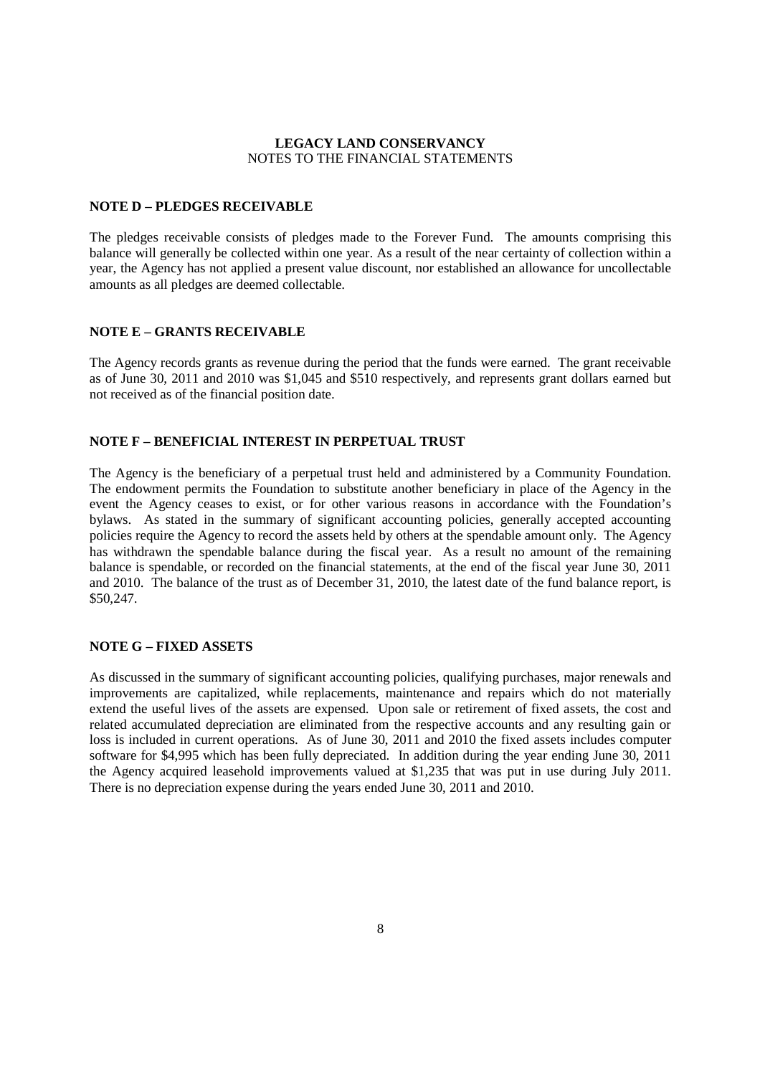#### **NOTE D – PLEDGES RECEIVABLE**

The pledges receivable consists of pledges made to the Forever Fund. The amounts comprising this balance will generally be collected within one year. As a result of the near certainty of collection within a year, the Agency has not applied a present value discount, nor established an allowance for uncollectable amounts as all pledges are deemed collectable.

#### **NOTE E – GRANTS RECEIVABLE**

The Agency records grants as revenue during the period that the funds were earned. The grant receivable as of June 30, 2011 and 2010 was \$1,045 and \$510 respectively, and represents grant dollars earned but not received as of the financial position date.

### **NOTE F – BENEFICIAL INTEREST IN PERPETUAL TRUST**

The Agency is the beneficiary of a perpetual trust held and administered by a Community Foundation. The endowment permits the Foundation to substitute another beneficiary in place of the Agency in the event the Agency ceases to exist, or for other various reasons in accordance with the Foundation's bylaws. As stated in the summary of significant accounting policies, generally accepted accounting policies require the Agency to record the assets held by others at the spendable amount only. The Agency has withdrawn the spendable balance during the fiscal year. As a result no amount of the remaining balance is spendable, or recorded on the financial statements, at the end of the fiscal year June 30, 2011 and 2010. The balance of the trust as of December 31, 2010, the latest date of the fund balance report, is \$50,247.

#### **NOTE G – FIXED ASSETS**

As discussed in the summary of significant accounting policies, qualifying purchases, major renewals and improvements are capitalized, while replacements, maintenance and repairs which do not materially extend the useful lives of the assets are expensed. Upon sale or retirement of fixed assets, the cost and related accumulated depreciation are eliminated from the respective accounts and any resulting gain or loss is included in current operations. As of June 30, 2011 and 2010 the fixed assets includes computer software for \$4,995 which has been fully depreciated. In addition during the year ending June 30, 2011 the Agency acquired leasehold improvements valued at \$1,235 that was put in use during July 2011. There is no depreciation expense during the years ended June 30, 2011 and 2010.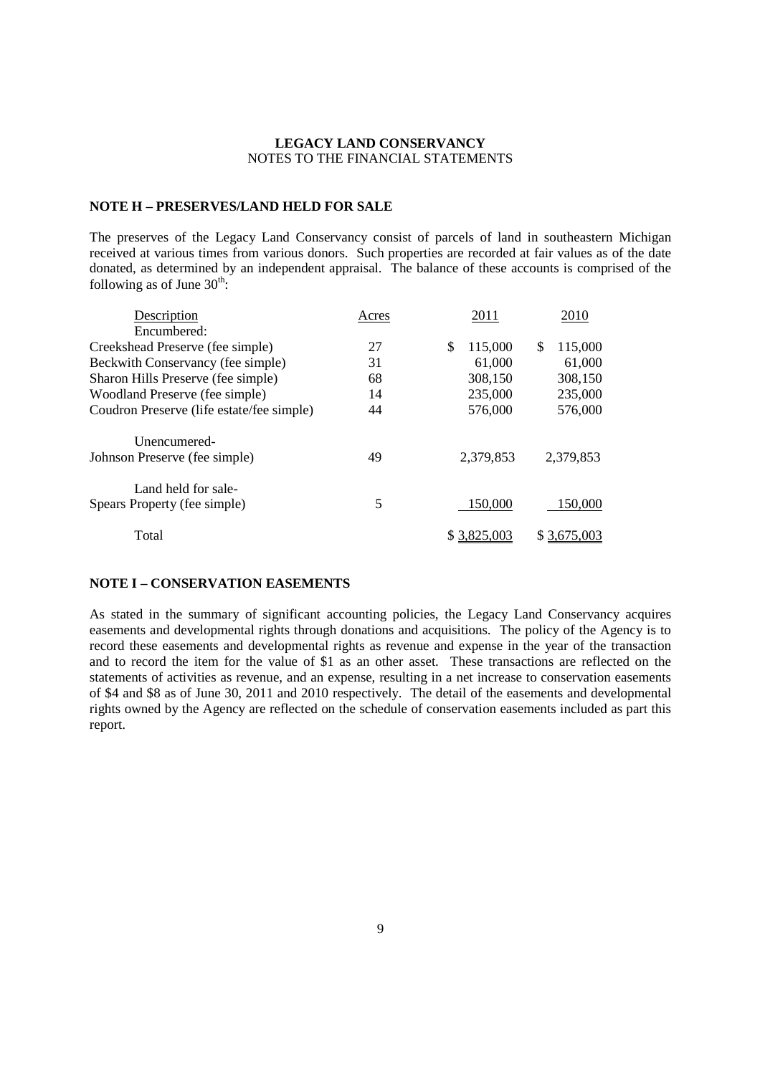## **NOTE H – PRESERVES/LAND HELD FOR SALE**

The preserves of the Legacy Land Conservancy consist of parcels of land in southeastern Michigan received at various times from various donors. Such properties are recorded at fair values as of the date donated, as determined by an independent appraisal. The balance of these accounts is comprised of the following as of June  $30^{\text{th}}$ :

| Acres | 2011          | 2010          |
|-------|---------------|---------------|
|       |               |               |
| 27    | \$<br>115,000 | 115,000<br>\$ |
| 31    | 61,000        | 61,000        |
| 68    | 308,150       | 308,150       |
| 14    | 235,000       | 235,000       |
| 44    | 576,000       | 576,000       |
|       |               |               |
| 49    | 2,379,853     | 2,379,853     |
|       |               |               |
| 5     | 150,000       | 150,000       |
|       |               | \$3,675,003   |
|       |               | \$3,825,003   |

## **NOTE I – CONSERVATION EASEMENTS**

As stated in the summary of significant accounting policies, the Legacy Land Conservancy acquires easements and developmental rights through donations and acquisitions. The policy of the Agency is to record these easements and developmental rights as revenue and expense in the year of the transaction and to record the item for the value of \$1 as an other asset. These transactions are reflected on the statements of activities as revenue, and an expense, resulting in a net increase to conservation easements of \$4 and \$8 as of June 30, 2011 and 2010 respectively. The detail of the easements and developmental rights owned by the Agency are reflected on the schedule of conservation easements included as part this report.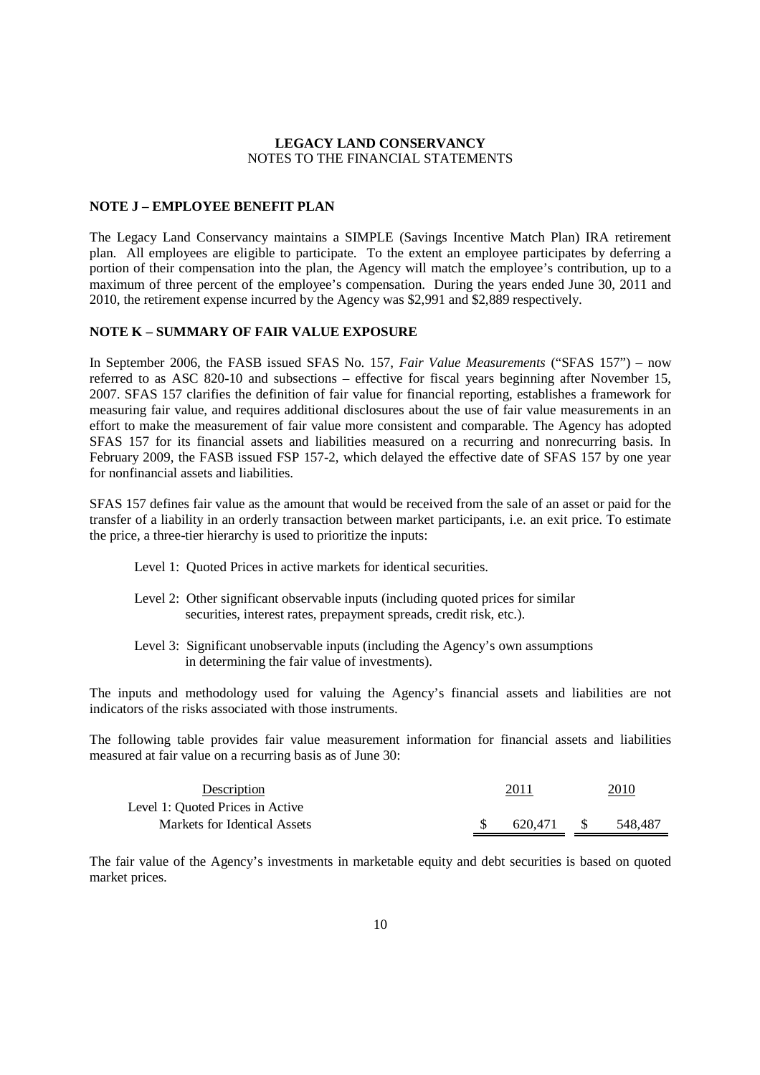#### **NOTE J – EMPLOYEE BENEFIT PLAN**

The Legacy Land Conservancy maintains a SIMPLE (Savings Incentive Match Plan) IRA retirement plan. All employees are eligible to participate. To the extent an employee participates by deferring a portion of their compensation into the plan, the Agency will match the employee's contribution, up to a maximum of three percent of the employee's compensation. During the years ended June 30, 2011 and 2010, the retirement expense incurred by the Agency was \$2,991 and \$2,889 respectively.

#### **NOTE K – SUMMARY OF FAIR VALUE EXPOSURE**

In September 2006, the FASB issued SFAS No. 157, *Fair Value Measurements* ("SFAS 157") – now referred to as ASC 820-10 and subsections – effective for fiscal years beginning after November 15, 2007. SFAS 157 clarifies the definition of fair value for financial reporting, establishes a framework for measuring fair value, and requires additional disclosures about the use of fair value measurements in an effort to make the measurement of fair value more consistent and comparable. The Agency has adopted SFAS 157 for its financial assets and liabilities measured on a recurring and nonrecurring basis. In February 2009, the FASB issued FSP 157-2, which delayed the effective date of SFAS 157 by one year for nonfinancial assets and liabilities.

SFAS 157 defines fair value as the amount that would be received from the sale of an asset or paid for the transfer of a liability in an orderly transaction between market participants, i.e. an exit price. To estimate the price, a three-tier hierarchy is used to prioritize the inputs:

- Level 1: Quoted Prices in active markets for identical securities.
- Level 2: Other significant observable inputs (including quoted prices for similar securities, interest rates, prepayment spreads, credit risk, etc.).
- Level 3: Significant unobservable inputs (including the Agency's own assumptions in determining the fair value of investments).

The inputs and methodology used for valuing the Agency's financial assets and liabilities are not indicators of the risks associated with those instruments.

The following table provides fair value measurement information for financial assets and liabilities measured at fair value on a recurring basis as of June 30:

| Description                      | 2011    | <u> 2010</u> |         |  |
|----------------------------------|---------|--------------|---------|--|
| Level 1: Ouoted Prices in Active |         |              |         |  |
| Markets for Identical Assets     | 620.471 | - S          | 548.487 |  |

The fair value of the Agency's investments in marketable equity and debt securities is based on quoted market prices.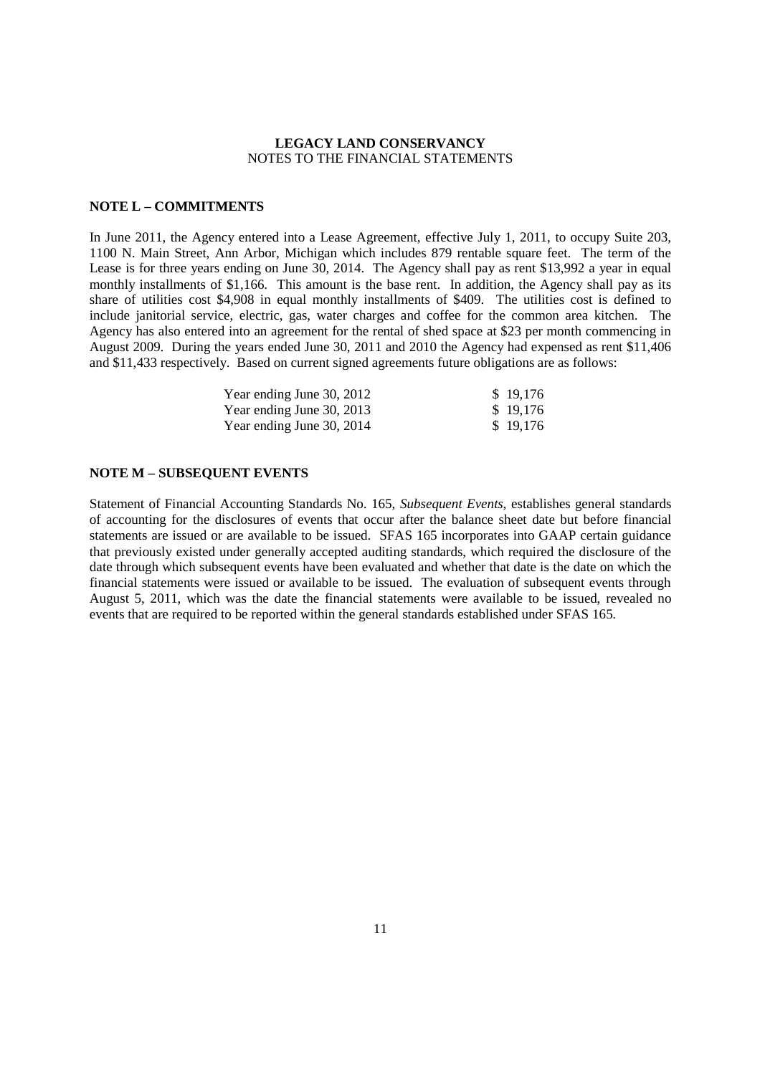#### **NOTE L – COMMITMENTS**

In June 2011, the Agency entered into a Lease Agreement, effective July 1, 2011, to occupy Suite 203, 1100 N. Main Street, Ann Arbor, Michigan which includes 879 rentable square feet. The term of the Lease is for three years ending on June 30, 2014. The Agency shall pay as rent \$13,992 a year in equal monthly installments of \$1,166. This amount is the base rent. In addition, the Agency shall pay as its share of utilities cost \$4,908 in equal monthly installments of \$409. The utilities cost is defined to include janitorial service, electric, gas, water charges and coffee for the common area kitchen. The Agency has also entered into an agreement for the rental of shed space at \$23 per month commencing in August 2009. During the years ended June 30, 2011 and 2010 the Agency had expensed as rent \$11,406 and \$11,433 respectively. Based on current signed agreements future obligations are as follows:

| Year ending June 30, 2012 | \$19,176 |
|---------------------------|----------|
| Year ending June 30, 2013 | \$19.176 |
| Year ending June 30, 2014 | \$19,176 |

#### **NOTE M – SUBSEQUENT EVENTS**

Statement of Financial Accounting Standards No. 165, *Subsequent Events,* establishes general standards of accounting for the disclosures of events that occur after the balance sheet date but before financial statements are issued or are available to be issued. SFAS 165 incorporates into GAAP certain guidance that previously existed under generally accepted auditing standards, which required the disclosure of the date through which subsequent events have been evaluated and whether that date is the date on which the financial statements were issued or available to be issued. The evaluation of subsequent events through August 5, 2011, which was the date the financial statements were available to be issued, revealed no events that are required to be reported within the general standards established under SFAS 165.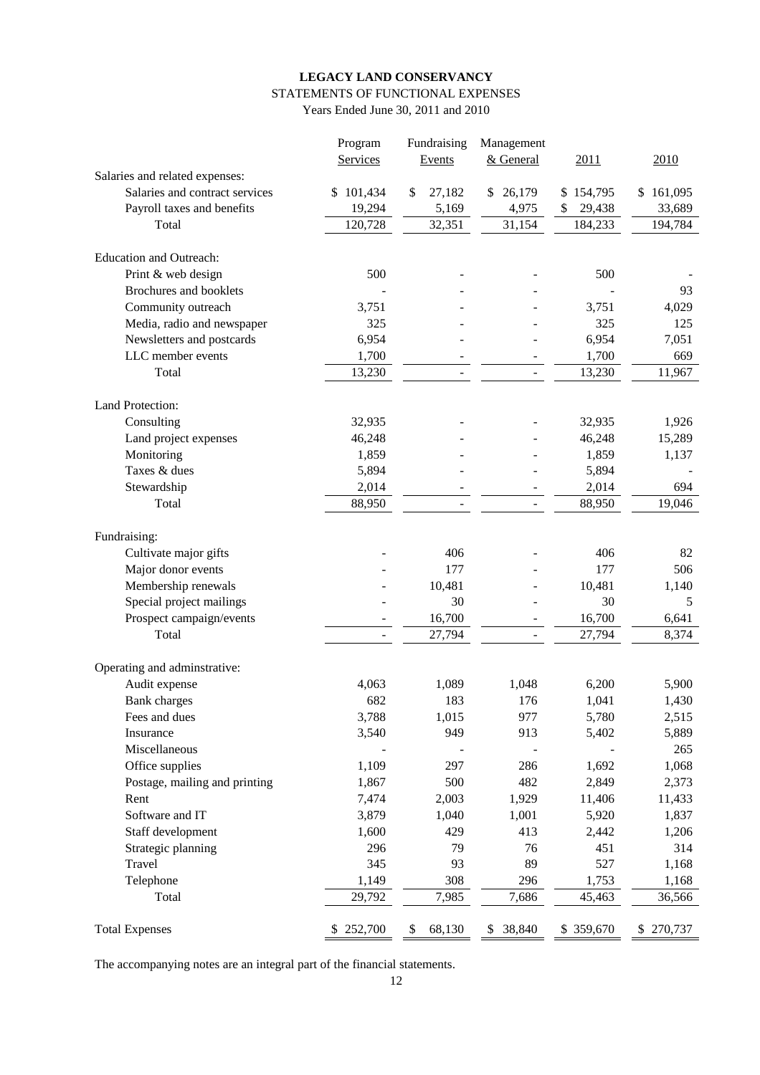# **LEGACY LAND CONSERVANCY** STATEMENTS OF FUNCTIONAL EXPENSES

Years Ended June 30, 2011 and 2010

|                                               | Program                  | Fundraising  | Management   |              |           |
|-----------------------------------------------|--------------------------|--------------|--------------|--------------|-----------|
|                                               | Services                 | Events       | & General    | 2011         | 2010      |
| Salaries and related expenses:                |                          |              |              |              |           |
| Salaries and contract services                | 101,434<br>\$            | \$<br>27,182 | 26,179<br>\$ | \$154,795    | \$161,095 |
| Payroll taxes and benefits                    | 19,294                   | 5,169        | 4,975        | \$<br>29,438 | 33,689    |
| Total                                         | 120,728                  | 32,351       | 31,154       | 184,233      | 194,784   |
|                                               |                          |              |              |              |           |
| <b>Education and Outreach:</b>                |                          |              |              |              |           |
| Print & web design                            | 500                      |              |              | 500          |           |
| Brochures and booklets                        |                          |              |              |              | 93        |
| Community outreach                            | 3,751                    |              |              | 3,751        | 4,029     |
| Media, radio and newspaper                    | 325                      |              |              | 325          | 125       |
| Newsletters and postcards                     | 6,954                    |              |              | 6,954        | 7,051     |
| LLC member events                             | 1,700                    |              | -            | 1,700        | 669       |
| Total                                         | 13,230                   |              |              | 13,230       | 11,967    |
| Land Protection:                              |                          |              |              |              |           |
| Consulting                                    | 32,935                   |              |              | 32,935       | 1,926     |
| Land project expenses                         | 46,248                   |              |              | 46,248       | 15,289    |
| Monitoring                                    | 1,859                    |              |              | 1,859        | 1,137     |
| Taxes & dues                                  | 5,894                    |              |              | 5,894        |           |
| Stewardship                                   | 2,014                    |              |              | 2,014        | 694       |
| Total                                         | 88,950                   |              |              | 88,950       | 19,046    |
|                                               |                          |              |              |              |           |
| Fundraising:                                  |                          |              |              |              |           |
| Cultivate major gifts                         |                          | 406          |              | 406          | 82        |
| Major donor events                            |                          | 177          |              | 177          | 506       |
| Membership renewals                           |                          | 10,481       |              | 10,481       | 1,140     |
| Special project mailings                      |                          | 30           |              | 30           | 5         |
| Prospect campaign/events                      |                          | 16,700       |              | 16,700       | 6,641     |
| Total                                         | $\overline{\phantom{a}}$ | 27,794       |              | 27,794       | 8,374     |
|                                               |                          |              |              |              |           |
| Operating and adminstrative:<br>Audit expense | 4,063                    | 1,089        | 1,048        | 6,200        | 5,900     |
| <b>Bank</b> charges                           | 682                      | 183          | 176          | 1,041        | 1,430     |
| Fees and dues                                 | 3,788                    | 1,015        | 977          | 5,780        | 2,515     |
|                                               |                          | 949          |              |              |           |
| Insurance<br>Miscellaneous                    | 3,540                    |              | 913          | 5,402        | 5,889     |
|                                               |                          |              |              |              | 265       |
| Office supplies                               | 1,109                    | 297          | 286          | 1,692        | 1,068     |
| Postage, mailing and printing                 | 1,867                    | 500          | 482          | 2,849        | 2,373     |
| Rent                                          | 7,474                    | 2,003        | 1,929        | 11,406       | 11,433    |
| Software and IT                               | 3,879                    | 1,040        | 1,001        | 5,920        | 1,837     |
| Staff development                             | 1,600                    | 429          | 413          | 2,442        | 1,206     |
| Strategic planning                            | 296                      | 79           | 76           | 451          | 314       |
| Travel                                        | 345                      | 93           | 89           | 527          | 1,168     |
| Telephone                                     | 1,149                    | 308          | 296          | 1,753        | 1,168     |
| Total                                         | 29,792                   | 7,985        | 7,686        | 45,463       | 36,566    |
| <b>Total Expenses</b>                         | \$252,700                | 68,130<br>\$ | 38,840<br>\$ | \$359,670    | \$270,737 |